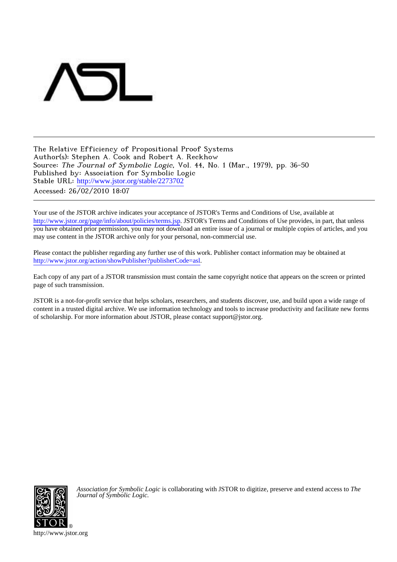

The Relative Efficiency of Propositional Proof Systems Author(s): Stephen A. Cook and Robert A. Reckhow Source: The Journal of Symbolic Logic, Vol. 44, No. 1 (Mar., 1979), pp. 36-50 Published by: Association for Symbolic Logic Stable URL: [http://www.jstor.org/stable/2273702](http://www.jstor.org/stable/2273702?origin=JSTOR-pdf) Accessed: 26/02/2010 18:07

Your use of the JSTOR archive indicates your acceptance of JSTOR's Terms and Conditions of Use, available at <http://www.jstor.org/page/info/about/policies/terms.jsp>. JSTOR's Terms and Conditions of Use provides, in part, that unless you have obtained prior permission, you may not download an entire issue of a journal or multiple copies of articles, and you may use content in the JSTOR archive only for your personal, non-commercial use.

Please contact the publisher regarding any further use of this work. Publisher contact information may be obtained at <http://www.jstor.org/action/showPublisher?publisherCode=asl>.

Each copy of any part of a JSTOR transmission must contain the same copyright notice that appears on the screen or printed page of such transmission.

JSTOR is a not-for-profit service that helps scholars, researchers, and students discover, use, and build upon a wide range of content in a trusted digital archive. We use information technology and tools to increase productivity and facilitate new forms of scholarship. For more information about JSTOR, please contact support@jstor.org.



*Association for Symbolic Logic* is collaborating with JSTOR to digitize, preserve and extend access to *The Journal of Symbolic Logic.*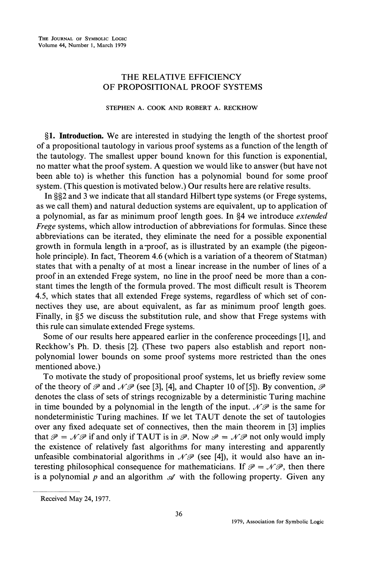## **THE RELATIVE EFFICIENCY OF PROPOSITIONAL PROOF SYSTEMS**

## **STEPHEN A. COOK AND ROBERT A. RECKHOW**

**?1. Introduction. We are interested in studying the length of the shortest proof of a propositional tautology in various proof systems as a function of the length of the tautology. The smallest upper bound known for this function is exponential, no matter what the proof system. A question we would like to answer (but have not been able to) is whether this function has a polynomial bound for some proof system. (This question is motivated below.) Our results here are relative results.** 

In §§2 and 3 we indicate that all standard Hilbert type systems (or Frege systems, **as we call them) and natural deduction systems are equivalent, up to application of a polynomial, as far as minimum proof length goes. In ?4 we introduce extended Frege systems, which allow introduction of abbreviations for formulas. Since these abbreviations can be iterated, they eliminate the need for a possible exponential growth in formula length in a-proof, as is illustrated by an example (the pigeonhole principle). In fact, Theorem 4.6 (which is a variation of a theorem of Statman) states that with a penalty of at most a linear increase in the number of lines of a proof in an extended Frege system, no line in the proof need be more than a constant times the length of the formula proved. The most difficult result is Theorem 4.5, which states that all extended Frege systems, regardless of which set of connectives they use, are about equivalent, as far as minimum proof length goes.**  Finally, in §5 we discuss the substitution rule, and show that Frege systems with **this rule can simulate extended Frege systems.** 

**Some of our results here appeared earlier in the conference proceedings [1], and Reckhow's Ph. D. thesis [2]. (These two papers also establish and report nonpolynomial lower bounds on some proof systems more restricted than the ones mentioned above.)** 

**To motivate the study of propositional proof systems, let us briefly review some**  of the theory of  $\mathcal P$  and  $\mathcal N\mathcal P$  (see [3], [4], and Chapter 10 of [5]). By convention,  $\mathcal P$ **denotes the class of sets of strings recognizable by a deterministic Turing machine**  in time bounded by a polynomial in the length of the input.  $\mathcal{NP}$  is the same for **nondeterministic Turing machines. If we let TAUT denote the set of tautologies over any fixed adequate set of connectives, then the main theorem in [3] implies**  that  $\mathcal{P} = \mathcal{N} \mathcal{P}$  if and only if TAUT is in  $\mathcal{P}$ . Now  $\mathcal{P} = \mathcal{N} \mathcal{P}$  not only would imply **the existence of relatively fast algorithms for many interesting and apparently**  unfeasible combinatorial algorithms in  $\mathcal{NP}$  (see [4]), it would also have an interesting philosophical consequence for mathematicians. If  $\mathcal{P} = \mathcal{N} \mathcal{P}$ , then there is a polynomial  $p$  and an algorithm  $\mathcal A$  with the following property. Given any

**Received May 24, 1977.**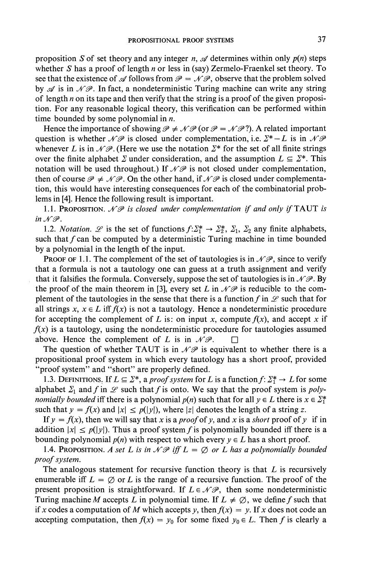**proposition S of set theory and any integer n,**  $\mathcal A$  **determines within only**  $p(n)$  **steps whether S has a proof of length n or less in (say) Zermelo-Fraenkel set theory. To**  see that the existence of  $\mathscr A$  follows from  $\mathscr P = \mathscr N \mathscr P$ , observe that the problem solved by  $\mathscr A$  is in  $\mathscr N\mathscr P$ . In fact, a nondeterministic Turing machine can write any string **of length n on its tape and then verify that the string is a proof of the given proposition. For any reasonable logical theory, this verification can be performed within time bounded by some polynomial in n.** 

Hence the importance of showing  $\mathcal{P} \neq \mathcal{NP}$  (or  $\mathcal{P} = \mathcal{NP}$ ?). A related important question is whether  $\mathcal{NP}$  is closed under complementation, i.e.  $\Sigma^* - L$  is in  $\mathcal{NP}$ whenever L is in  $\mathcal{N}\mathcal{P}$ . (Here we use the notation  $\Sigma^*$  for the set of all finite strings over the finite alphabet  $\Sigma$  under consideration, and the assumption  $L \subseteq \Sigma^*$ . This notation will be used throughout.) If  $\mathcal{NP}$  is not closed under complementation, then of course  $\mathcal{P} \neq \mathcal{NP}$ . On the other hand, if  $\mathcal{NP}$  is closed under complementa**tion, this would have interesting consequences for each of the combinatorial problems in [4]. Hence the following result is important.** 

1.1. PROPOSITION.  $\mathcal{NP}$  is closed under complementation if and only if TAUT is in  $\mathcal{N} \mathcal{P}$ .

**1.2.** *Notation.*  $\mathscr{L}$  is the set of functions  $f: \Sigma_1^* \to \Sigma_2^*$ ,  $\Sigma_1$ ,  $\Sigma_2$  any finite alphabets, such that  $f$  can be computed by a deterministic Turing machine in time bounded **by a polynomial in the length of the input.** 

**PROOF OF 1.1. The complement of the set of tautologies is in**  $\mathcal{NP}$ **, since to verify that a formula is not a tautology one can guess at a truth assignment and verify**  that it falsifies the formula. Conversely, suppose the set of tautologies is in  $\mathcal{N}\mathcal{P}$ . By the proof of the main theorem in [3], every set L in  $\mathcal{NP}$  is reducible to the com**plement of the tautologies in the sense that there is a function**  $f$  **in**  $\mathscr L$  **such that for** all strings  $x, x \in L$  iff  $f(x)$  is not a tautology. Hence a nondeterministic procedure for accepting the complement of L is: on input x, compute  $f(x)$ , and accept x if  $f(x)$  is a tautology, using the nondeterministic procedure for tautologies assumed above. Hence the complement of L is in  $\mathcal{N}\mathcal{P}$ .  $\Box$ 

The question of whether TAUT is in  $\mathcal{NP}$  is equivalent to whether there is a **propositional proof system in which every tautology has a short proof, provided "proof system" and "short" are properly defined.** 

**1.3. DEFINITIONS.** If  $L \subseteq \mathbb{Z}^*$ , a proof system for L is a function  $f: \mathbb{Z}_1^* \to L$  for some alphabet  $\Sigma_1$  and f in  $\mathscr L$  such that f is onto. We say that the proof system is poly*nomially bounded* iff there is a polynomial  $p(n)$  such that for all  $y \in L$  there is  $x \in \Sigma_1^*$ such that  $y = f(x)$  and  $|x| \leq p(|y|)$ , where |z| denotes the length of a string z.

If  $y = f(x)$ , then we will say that x is a *proof* of y, and x is a *short* proof of y if in addition  $|x| \leq p(|y|)$ . Thus a proof system f is polynomially bounded iff there is a **bounding polynomial**  $p(n)$  **with respect to which every**  $y \in L$  **has a short proof.** 

**1.4. PROPOSITION.** A set L is in  $\mathcal{NP}$  iff  $L = \emptyset$  or L has a polynomially bounded **proof system.** 

**The analogous statement for recursive function theory is that L is recursively**  enumerable iff  $L = \emptyset$  or L is the range of a recursive function. The proof of the **present proposition is straightforward. If**  $L \in \mathcal{NP}$ **, then some nondeterministic** Turing machine M accepts L in polynomial time. If  $L \neq \emptyset$ , we define f such that if x codes a computation of M which accepts y, then  $f(x) = y$ . If x does not code an **accepting computation, then**  $f(x) = y_0$  **for some fixed**  $y_0 \in L$ **. Then f is clearly a**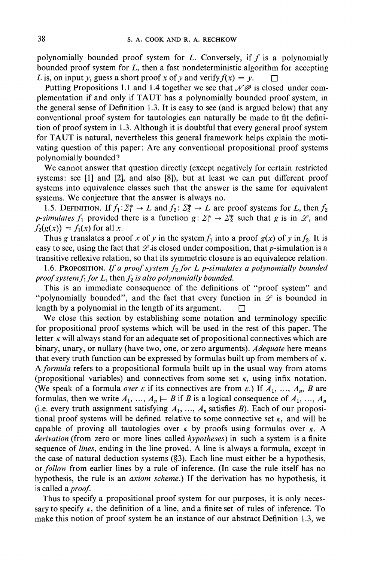**polynomially bounded proof system for L. Conversely, if f is a polynomially bounded proof system for L, then a fast nondeterministic algorithm for accepting**  L is, on input y, guess a short proof x of y and verify  $f(x) = y$ .

Putting Propositions 1.1 and 1.4 together we see that  $\mathcal{N} \mathcal{P}$  is closed under com**plementation if and only if TAUT has a polynomially bounded proof system, in the general sense of Definition 1.3. It is easy to see (and is argued below) that any conventional proof system for tautologies can naturally be made to fit the definition of proof system in 1.3. Although it is doubtful that every general proof system for TAUT is natural, nevertheless this general framework helps explain the motivating question of this paper: Are any conventional propositional proof systems polynomially bounded?** 

**We cannot answer that question directly (except negatively for certain restricted systems: see [1] and [2], and also [8]), but at least we can put different proof systems into equivalence classes such that the answer is the same for equivalent systems. We conjecture that the answer is always no.** 

**1.5. DEFINITION.** If  $f_1: \Sigma_1^* \to L$  and  $f_2: \Sigma_2^* \to L$  are proof systems for L, then  $f_2$ *p***-simulates**  $f_1$  **provided there is a function**  $g: \Sigma_1^* \to \Sigma_2^*$  **such that g is in**  $\mathcal{L}$ **, and**  $f_2(g(x)) = f_1(x)$  for all x.

Thus g translates a proof x of y in the system  $f_1$  into a proof  $g(x)$  of y in  $f_2$ . It is easy to see, using the fact that  $\mathscr L$  is closed under composition, that p-simulation is a **transitive reflexive relation, so that its symmetric closure is an equivalence relation.** 

1.6. PROPOSITION. If a proof system  $f_2$  for L p-simulates a polynomially bounded proof system  $f_1$  for L, then  $f_2$  is also polynomially bounded.

**This is an immediate consequence of the definitions of "proof system" and**  "polynomially bounded", and the fact that every function in  $\mathscr{L}$  is bounded in length by a polynomial in the length of its argument.  $\square$ 

**We close this section by establishing some notation and terminology specific for propositional proof systems which will be used in the rest of this paper. The**  letter  $\kappa$  will always stand for an adequate set of propositional connectives which are **binary, unary, or nullary (have two, one, or zero arguments). Adequate here means**  that every truth function can be expressed by formulas built up from members of  $\kappa$ . **A formula refers to a propositional formula built up in the usual way from atoms**  (propositional variables) and connectives from some set  $\kappa$ , using infix notation. **(We speak of a formula** *over* $\kappa$  **if its connectives are from**  $\kappa$ **.) If**  $A_1, \ldots, A_n, B$  **are** formulas, then we write  $A_1, ..., A_n \models B$  if B is a logical consequence of  $A_1, ..., A_n$ (i.e. every truth assignment satisfying  $A_1, \ldots, A_n$  satisfies  $B$ ). Each of our proposi**tional proof systems will be defined relative to some connective set**  $\kappa$ **, and will be** capable of proving all tautologies over  $\kappa$  by proofs using formulas over  $\kappa$ . A **derivation (from zero or more lines called hypotheses) in such a system is a finite sequence of lines, ending in the line proved. A line is always a formula, except in the case of natural deduction systems (?3). Each line must either be a hypothesis, or follow from earlier lines by a rule of inference. (In case the rule itself has no hypothesis, the rule is an axiom scheme.) If the derivation has no hypothesis, it is called a proof.** 

**Thus to specify a propositional proof system for our purposes, it is only neces**sary to specify  $\kappa$ , the definition of a line, and a finite set of rules of inference. To **make this notion of proof system be an instance of our abstract Definition 1.3, we**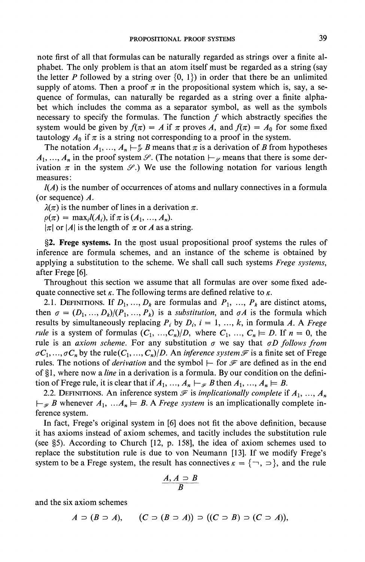**note first of all that formulas can be naturally regarded as strings over a finite alphabet. The only problem is that an atom itself must be regarded as a string (say**  the letter P followed by a string over  $\{0, 1\}$  in order that there be an unlimited supply of atoms. Then a proof  $\pi$  in the propositional system which is, say, a se**quence of formulas, can naturally be regarded as a string over a finite alphabet which includes the comma as a separator symbol, as well as the symbols necessary to specify the formulas. The function f which abstractly specifies the**  system would be given by  $f(\pi) = A$  if  $\pi$  proves A, and  $f(\pi) = A_0$  for some fixed tautology  $A_0$  if  $\pi$  is a string not corresponding to a proof in the system.

The notation  $A_1, ..., A_n \mapsto \mathcal{F}$  B means that  $\pi$  is a derivation of B from hypotheses  $A_1, \ldots, A_n$  in the proof system  $\mathscr{S}$ . (The notation  $\vdash_{\mathscr{S}}$  means that there is some derivation  $\pi$  in the system  $\mathscr{S}$ .) We use the following notation for various length **measures:** 

**l(A) is the number of occurrences of atoms and nullary connectives in a formula (or sequence) A.** 

 $\lambda(\pi)$  is the number of lines in a derivation  $\pi$ .

 $p(\pi) = \max_i I(A_i)$ , if  $\pi$  is  $(A_1, ..., A_n)$ .

 $|\pi|$  or  $|A|$  is the length of  $\pi$  or A as a string.

**?2. Frege systems. In the most usual propositional proof systems the rules of inference are formula schemes, and an instance of the scheme is obtained by applying a substitution to the scheme. We shall call such systems Frege systems, after Frege [6].** 

**Throughout this section we assume that all formulas are over some fixed ade**quate connective set  $\kappa$ . The following terms are defined relative to  $\kappa$ .

2.1. **DEFINITIONS.** If  $D_1, \ldots, D_k$  are formulas and  $P_1, \ldots, P_k$  are distinct atoms, then  $\sigma = (D_1, ..., D_k)/(P_1, ..., P_k)$  is a substitution, and  $\sigma A$  is the formula which **results by simultaneously replacing**  $P_i$  **by**  $D_i$ **,**  $i = 1, ..., k$ **, in formula A. A Frege** rule is a system of formulas  $(C_1, ..., C_n)/D$ , where  $C_1, ..., C_n \models D$ . If  $n = 0$ , the rule is an *axiom scheme*. For any substitution  $\sigma$  we say that  $\sigma D$  follows from  $\sigma C_1, ..., \sigma C_n$  by the rule( $C_1, ..., C_n$ )/D. An *inference system*  $\mathcal F$  is a finite set of Frege rules. The notions of *derivation* and the symbol  $\vdash$  for  $\mathcal F$  are defined as in the end of §1, where now a *line* in a derivation is a formula. By our condition on the defini**tion of Frege rule, it is clear that if**  $A_1, ..., A_n \vdash_{\mathcal{F}} B$  **then**  $A_1, ..., A_n \models B$ **.** 

**2.2. DEFINITIONS.** An inference system  $\mathcal F$  is *implicationally complete* if  $A_1, \ldots, A_n$  $\vdash_{\mathcal{F}} B$  whenever  $A_1, \ldots, A_n \models B$ . A *Frege system* is an implicationally complete in**ference system.** 

**In fact, Frege's original system in [6] does not fit the above definition, because it has axioms instead of axiom schemes, and tacitly includes the substitution rule (see ?5). According to Church [12, p. 158], the idea of axiom schemes used to replace the substitution rule is due to von Neumann [13]. If we modify Frege's system to be a Frege system, the result has connectives**  $\kappa = {\infty, \infty}$ **, and the rule** 

$$
\frac{A, A \supset B}{B}
$$

**and the six axiom schemes** 

 $A \supset (B \supset A),$   $(C \supset (B \supset A)) \supset ((C \supset B) \supset (C \supset A)),$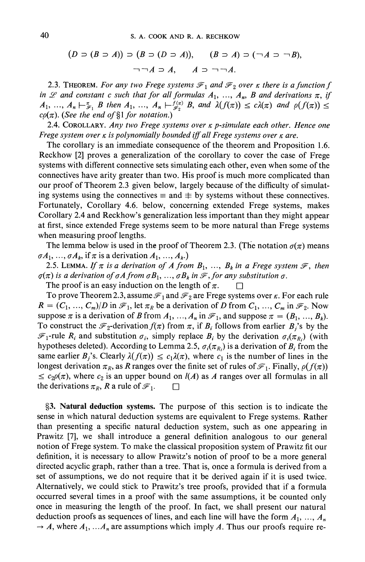$$
(D \supset (B \supset A)) \supset (B \supset (D \supset A)), \quad (B \supset A) \supset (\neg A \supset \neg B).
$$
  

$$
\neg \neg A \supset A, \quad A \supset \neg \neg A.
$$

**2.3. THEOREM.** For any two Frege systems  $\mathcal{F}_1$  and  $\mathcal{F}_2$  over  $\kappa$  there is a function f in  $\mathscr L$  and constant c such that for all formulas  $A_1, \ldots, A_n, B$  and derivations  $\pi$ , if  $A_1, \ldots, A_n \vdash_{\mathcal{F}_1}^{\pi} B$  then  $A_1, \ldots, A_n \vdash_{\mathcal{F}_2}^{f(\pi)} B$ , and  $\lambda(f(\pi)) \leq c\lambda(\pi)$  and  $\rho(f(\pi)) \leq$  $c\rho(\pi)$ . (See the end of §1 for notation.)

**2.4. COROLLARY. Any two Frege systems over K p-simulate each other. Hence one Frege system over**  $\kappa$  **is polynomially bounded iff all Frege systems over**  $\kappa$  **are.** 

**The corollary is an immediate consequence of the theorem and Proposition 1.6. Reckhow [2] proves a generalization of the corollary to cover the case of Frege systems with different connective sets simulating each other, even when some of the connectives have arity greater than two. His proof is much more complicated than our proof of Theorem 2.3 given below, largely because of the difficulty of simulat**ing systems using the connectives  $\equiv$  and  $\equiv$  by systems without these connectives. **Fortunately, Corollary 4.6. below, concerning extended Frege systems, makes Corollary 2.4 and Reckhow's generalization less important than they might appear at first, since extended Frege systems seem to be more natural than Frege systems when measuring proof lengths.** 

The lemma below is used in the proof of Theorem 2.3. (The notation  $\sigma(\pi)$  means  $\sigma A_1, \ldots, \sigma A_k$ , if  $\pi$  is a derivation  $A_1, \ldots, A_k$ .)

**2.5. LEMMA.** If  $\pi$  is a derivation of A from  $B_1, \ldots, B_k$  in a Frege system  $\mathcal{F}$ , then  $q(\pi)$  is a derivation of  $qA$  from  $qB_1, ..., qB_k$  in  $\mathcal{F}$ , for any substitution  $q$ .

The proof is an easy induction on the length of  $\pi$ .  $\Box$ 

To prove Theorem 2.3, assume  $\mathcal{F}_1$  and  $\mathcal{F}_2$  are Frege systems over  $\kappa$ . For each rule  $R = (C_1, ..., C_m)/D$  in  $\mathcal{F}_1$ , let  $\pi_R$  be a derivation of D from  $C_1, ..., C_m$  in  $\mathcal{F}_2$ . Now suppose  $\pi$  is a derivation of **B** from  $A_1, ..., A_n$  in  $\mathcal{F}_1$ , and suppose  $\pi = (B_1, ..., B_k)$ . To construct the  $\mathcal{F}_2$ -derivation  $f(\pi)$  from  $\pi$ , if  $B_i$  follows from earlier  $B_i$ 's by the  $\mathcal{F}_1$ -rule  $R_i$  and substitution  $\sigma_i$ , simply replace  $B_i$  by the derivation  $\sigma_i(\pi_R)$  (with hypotheses deleted). According to Lemma 2.5,  $\sigma_i(\pi_R)$  is a derivation of  $B_i$  from the same earlier  $B_j$ 's. Clearly  $\lambda(f(\pi)) \leq c_1 \lambda(\pi)$ , where  $c_1$  is the number of lines in the longest derivation  $\pi_R$ , as R ranges over the finite set of rules of  $\mathcal{F}_1$ . Finally,  $\rho(f(\pi))$  $\leq c_2\rho(\pi)$ , where  $c_2$  is an upper bound on  $l(A)$  as A ranges over all formulas in all the derivations  $\pi_R$ , **R** a rule of  $\mathcal{F}_1$ .  $\Box$ 

**?3. Natural deduction systems. The purpose of this section is to indicate the sense in which natural deduction systems are equivalent to Frege systems. Rather than presenting a specific natural deduction system, such as one appearing in Prawitz [7], we shall introduce a general definition analogous to our general notion of Frege system. To make the classical proposition system of Prawitz fit our definition, it is necessary to allow Prawitz's notion of proof to be a more general directed acyclic graph, rather than a tree. That is, once a formula is derived from a set of assumptions, we do not require that it be derived again if it is used twice. Alternatively, we could stick to Prawitz's tree proofs, provided that if a formula occurred several times in a proof with the same assumptions, it be counted only once in measuring the length of the proof. In fact, we shall present our natural**  deduction proofs as sequences of lines, and each line will have the form  $A_1, \ldots, A_n$  $\rightarrow$  **A**, where  $A_1$ ,  $\ldots A_n$  are assumptions which imply A. Thus our proofs require re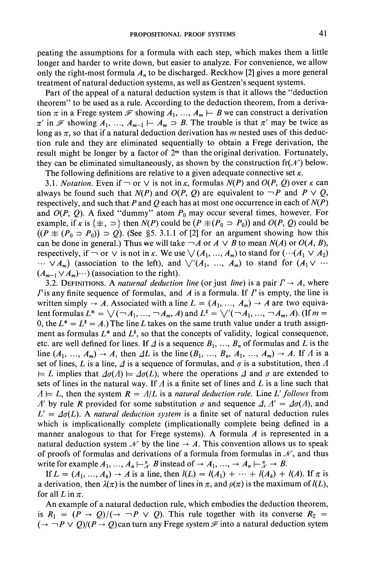**peating the assumptions for a formula with each step, which makes them a little longer and harder to write down, but easier to analyze. For convenience, we allow**  only the right-most formula  $A<sub>n</sub>$  to be discharged. Reckhow [2] gives a more general **treatment of natural deduction systems, as well as Gentzen's sequent systems.** 

**Part of the appeal of a natural deduction system is that it allows the "deduction theorem" to be used as a rule. According to the deduction theorem, from a deriva**tion  $\pi$  in a Frege system  $\mathcal F$  showing  $A_1, \ldots, A_m \vdash B$  we can construct a derivation  $\pi'$  in  $\mathcal F$  showing  $A_1, ..., A_{m-1} \vdash A_m \supset B$ . The trouble is that  $\pi'$  may be twice as long as  $\pi$ , so that if a natural deduction derivation has *m* nested uses of this deduc**tion rule and they are eliminated sequentially to obtain a Frege derivation, the result might be longer by a factor of 2m than the original derivation. Fortunately,**  they can be eliminated simultaneously, as shown by the construction  $\text{fr}(\mathcal{N})$  below. The following definitions are relative to a given adequate connective set  $\kappa$ .

**3.1.** *Notation.* Even if  $\neg$  or  $\vee$  is not in  $\kappa$ , formulas  $N(P)$  and  $O(P, Q)$  over  $\kappa$  can always be found such that  $N(P)$  and  $O(P, Q)$  are equivalent to  $\neg P$  and  $P \lor Q$ , respectively, and such that P and Q each has at most one occurrence in each of  $N(P)$ and  $O(P, Q)$ . A fixed "dummy" atom  $P_0$  may occur several times, however. For **example, if**  $\kappa$  is  $\{\pm, \pm\}$  then  $N(P)$  could be  $(P \pm (P_0 \pm P_0))$  and  $O(P, Q)$  could be  $((P \not\equiv (P_0 \supset P_0)) \supset Q)$ . (See §5. 3.1.1 of [2] for an argument showing how this can be done in general.) Thus we will take  $\neg A$  or  $A \lor B$  to mean  $N(A)$  or  $O(A, B)$ , **respectively, if**  $\neg$  or  $\vee$  is not in  $\kappa$ . We use  $\vee$  ( $A_1, ..., A_m$ ) to stand for  $(\cdots(A_1 \vee A_2))$  $\cdots \vee A_m$ ) (association to the left), and  $\bigvee'(A_1, \ldots, A_m)$  to stand for  $(A_1 \vee \cdots$  $(A_{m-1} \vee A_m) \cdots$  (association to the right).

**3.2. DEFINITIONS.** A naturnal deduction line (or just line) is a pair  $\Gamma \rightarrow A$ , where  $\Gamma$  is any finite sequence of formulas, and  $\Lambda$  is a formula. If  $\Gamma$  is empty, the line is written simply  $\rightarrow$  A. Associated with a line  $L = (A_1, ..., A_m) \rightarrow A$  are two equiva**lent formulas**  $L^* = \bigvee (\neg A_1, ..., \neg A_m, A)$  and  $L^* = \bigvee' (\neg A_1, ..., \neg A_m, A)$ . (If  $m =$ 0, the  $L^* = L^* = A$ .) The line L takes on the same truth value under a truth assignment as formulas  $L^*$  and  $L^*$ , so that the concepts of validity, logical consequence, etc. are well defined for lines. If  $\Delta$  is a sequence  $B_1, \ldots, B_n$  of formulas and  $L$  is the line  $(A_1, ..., A_m) \rightarrow A$ , then  $\Delta L$  is the line  $(B_1, ..., B_n, A_1, ..., A_m) \rightarrow A$ . If  $\Lambda$  is a set of lines, L is a line,  $\Delta$  is a sequence of formulas, and  $\sigma$  is a substitution, then  $\Lambda$  $\vdash$  L implies that  $\Delta \sigma(\Lambda) \models \Delta \sigma(L)$ , where the operations  $\Lambda$  and  $\sigma$  are extended to sets of lines in the natural way. If  $\Lambda$  is a finite set of lines and  $\Lambda$  is a line such that  $A \models L$ , then the system  $R = A/L$  is a natural deduction rule. Line L' follows from A' by rule R provided for some substitution  $\sigma$  and sequence  $\Delta$ ,  $A' = \Delta \sigma(A)$ , and  $L' = \Delta \sigma(L)$ . A natural deduction system is a finite set of natural deduction rules **which is implicationally complete (implicationally complete being defined in a manner analogous to that for Frege systems). A formula A is represented in a natural deduction system**  $\mathcal{N}$  **by the line**  $\rightarrow$  **A. This convention allows us to speak** of proofs of formulas and derivations of a formula from formulas in  $\mathcal{N}$ , and thus write for example  $A_1, \ldots, A_n \mapsto K^n$  B instead of  $\rightarrow A_1, \ldots, \rightarrow A_n \mapsto K^n$ 

If  $L = (A_1, ..., A_k) \rightarrow A$  is a line, then  $l(L) = l(A_1) + \cdots + l(A_k) + l(A)$ . If  $\pi$  is a derivation, then  $\lambda(\pi)$  is the number of lines in  $\pi$ , and  $\rho(\pi)$  is the maximum of  $l(L)$ , for all  $L$  in  $\pi$ .

**An example of a natural deduction rule, which embodies the deduction theorem,**  is  $R_1 = (P \rightarrow Q)/(\rightarrow \neg P \lor Q)$ . This rule together with its converse  $R_2 =$  $(\rightarrow \neg P \lor Q)/(P \rightarrow Q)$  can turn any Frege system  $\mathcal{F}$  into a natural deduction sytem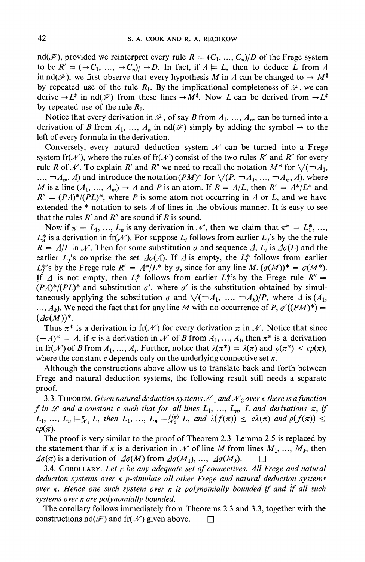$\text{nd}(\mathcal{F})$ , provided we reinterpret every rule  $R = (C_1, \ldots, C_n)/D$  of the Frege system to be  $R' = (\rightarrow C_1, ..., \rightarrow C_n)/\rightarrow D$ . In fact, if  $A \models L$ , then to deduce L from A in  $\text{nd}(\mathcal{F})$ , we first observe that every hypothesis M in  $\Lambda$  can be changed to  $\to M^*$ by repeated use of the rule  $R_1$ . By the implicational completeness of  $\mathcal{F}$ , we can derive  $\rightarrow L^*$  in nd( $\mathcal{F}$ ) from these lines  $\rightarrow M^*$ . Now L can be derived from  $\rightarrow L^*$ by repeated use of the rule  $R_2$ .

Notice that every derivation in  $\mathcal{F}$ , of say B from  $A_1, ..., A_n$ , can be turned into a derivation of B from  $A_1, ..., A_n$  in  $nd(\mathcal{F})$  simply by adding the symbol  $\rightarrow$  to the **left of every formula in the derivation.** 

Conversely, every natural deduction system  $\mathcal{N}$  can be turned into a Frege system fr( $\mathcal{N}$ ), where the rules of fr( $\mathcal{N}$ ) consist of the two rules R' and R'' for every rule R of N. To explain R' and R'' we need to recall the notation  $M^*$  for  $\vee (\neg A_1, \neg A_2)$  $\ldots$ ,  $\neg A_m$ , *A*) and introduce the notation(*PM*)<sup>\*</sup> for  $\sqrt{(P, \neg A_1, \ldots, \neg A_m, A)}$ , where M is a line  $(A_1, ..., A_m) \rightarrow A$  and P is an atom. If  $R = A/L$ , then  $R' = A^*/L^*$  and  $R'' = (P\Lambda)^*/(PL)^*$ , where P is some atom not occurring in  $\Lambda$  or L, and we have **extended the \* notation to sets A of lines in the obvious manner. It is easy to see**  that the rules  $R'$  and  $R''$  are sound if  $R$  is sound.

Now if  $\pi = L_1, ..., L_n$  is any derivation in N, then we claim that  $\pi^* = L_1^*, ...,$  $L_n^*$  is a derivation in fr( $\mathcal N$ ). For suppose  $L_i$  follows from earlier  $L_j$ 's by the the rule  $R = \Lambda/L$  in N. Then for some substitution  $\sigma$  and sequence  $\Lambda$ ,  $L_i$  is  $\Delta\sigma(L)$  and the earlier  $L_i$ 's comprise the set  $\Delta \sigma(\Lambda)$ . If  $\Delta$  is empty, the  $L_i^*$  follows from earlier  $L_i^*$ 's by the Frege rule  $R' = \Lambda^*/L^*$  by  $\sigma$ , since for any line  $M$ ,  $(\sigma(M))^* = \sigma(M^*)$ . If  $\Delta$  is not empty, then  $L_i^*$  follows from earlier  $L_i^*$ 's by the Frege rule  $R'' =$  $(P\Lambda)^*/(PL)^*$  and substitution  $\sigma'$ , where  $\sigma'$  is the substitution obtained by simul**taneously applying the substitution**  $\sigma$  **and**  $\sqrt{(-A_1, ..., -A_k)/P}$ **, where**  $\Delta$  **is**  $(A_1,$  $\ldots$ ,  $A_k$ ). We need the fact that for any line M with no occurrence of P,  $\sigma'((PM)^*)$  =  $(\varDelta \sigma(M))^*$ .

Thus  $\pi^*$  is a derivation in fr( $\mathcal N$ ) for every derivation  $\pi$  in  $\mathcal N$ . Notice that since  $(\rightarrow A)^* = A$ , if  $\pi$  is a derivation in  $\mathcal N$  of B from  $A_1, \ldots, A_l$ , then  $\pi^*$  is a derivation in fr(N) of B from  $A_1, ..., A_k$ . Further, notice that  $\lambda(\pi^*) = \lambda(\pi)$  and  $\rho(\pi^*) \leq c\rho(\pi)$ , where the constant  $c$  depends only on the underlying connective set  $\kappa$ .

**Although the constructions above allow us to translate back and forth between Frege and natural deduction systems, the following result still needs a separate**  proof.

**3.3. THEOREM.** Given natural deduction systems  $\mathcal{N}_1$  and  $\mathcal{N}_2$  over  $\kappa$  there is a function  $f$  in  $\mathscr L$  and a constant  $c$  such that for all lines  $L_1, ..., L_n$ ,  $L$  and derivations  $\pi$ , if  $L_1, ..., L_n \vdash_{\mathcal{N}_1}^{\pi} L$ , then  $L_1, ..., L_n \vdash_{\mathcal{N}_2}^{f(\pi)} L$ , and  $\lambda(f(\pi)) \leq c\lambda(\pi)$  and  $\rho(f(\pi)) \leq$  $c\rho(\pi)$ .

**The proof is very similar to the proof of Theorem 2.3. Lemma 2.5 is replaced by**  the statement that if  $\pi$  is a derivation in  $\mathcal{N}$  of line M from lines  $M_1, \ldots, M_k$ , then  $\Delta \sigma(\pi)$  is a derivation of  $\Delta \sigma(M)$  from  $\Delta \sigma(M_1), \ldots, \Delta \sigma(M_k)$ .  $\square$ 

**3.4. COROLLARY. Let K be any adequate set of connectives. All Frege and natural deduction systems over X p-simulate all other Frege and natural deduction systems**  *over* $\kappa$ **. Hence one such system over**  $\kappa$  **is polynomially bounded if and if all such systems over X are polynomially bounded.** 

**The corollary follows immediately from Theorems 2.3 and 3.3, together with the**  constructions  $nd(\mathcal{F})$  and  $fr(\mathcal{N})$  given above.  $\Box$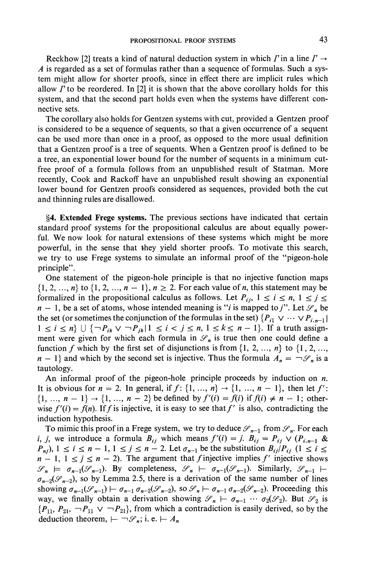**Reckhow** [2] treats a kind of natural deduction system in which  $\Gamma$  in a line  $\Gamma \rightarrow$ **A is regarded as a set of formulas rather than a sequence of formulas. Such a system might allow for shorter proofs, since in effect there are implicit rules which**  allow  $\Gamma$  to be reordered. In [2] it is shown that the above corollary holds for this **system, and that the second part holds even when the systems have different connective sets.** 

**The corollary also holds for Gentzen systems with cut, provided a Gentzen proof is considered to be a sequence of sequents, so that a given occurrence of a sequent can be used more than once in a proof, as opposed to the more usual definition that a Gentzen proof is a tree of sequents. When a Gentzen proof is defined to be a tree, an exponential lower bound for the number of sequents in a minimum cutfree proof of a formula follows from an unpublished result of Statman. More recently, Cook and Rackoff have an unpublished result showing an exponential lower bound for Gentzen proofs considered as sequences, provided both the cut and thinning rules are disallowed.** 

**?4. Extended Frege systems. The previous sections have indicated that certain standard proof systems for the propositional calculus are about equally powerful. We now look for natural extensions of these systems which might be more powerful, in the sense that they yield shorter proofs. To motivate this search, we try to use Frege systems to simulate an informal proof of the "pigeon-hole principle".** 

**One statement of the pigeon-hole principle is that no injective function maps**   $\{1, 2, ..., n\}$  to  $\{1, 2, ..., n - 1\}$ ,  $n \ge 2$ . For each value of *n*, this statement may be formalized in the propositional calculus as follows. Let  $P_{ij}$ ,  $1 \le i \le n$ ,  $1 \le j \le k$  $n - 1$ , be a set of atoms, whose intended meaning is "*i* is mapped to *j*". Let  $\mathcal{S}_n$  be the set (or sometimes the conjunction of the formulas in the set)  $\{P_{i1} \vee \cdots \vee P_{i,n-1}\}\$  $1 \leq i \leq n$   $\cup$   $\{\neg P_{ik} \vee \neg P_{jk} | 1 \leq i < j \leq n, 1 \leq k \leq n-1\}$ . If a truth assign**ment were given for which each formula in**  $\mathcal{S}_n$  **is true then one could define a** function *f* which by the first set of disjunctions is from  $\{1, 2, \ldots, n\}$  to  $\{1, 2, \ldots,$  $n - 1$  and which by the second set is injective. Thus the formula  $A_n = \neg \mathcal{S}_n$  is a **tautology.** 

An informal proof of the pigeon-hole principle proceeds by induction on *n*. It is obvious for  $n = 2$ . In general, if  $f: \{1, ..., n\} \rightarrow \{1, ..., n-1\}$ , then let  $f'$ :  $\{1, ..., n-1\} \rightarrow \{1, ..., n-2\}$  be defined by  $f'(i) = f(i)$  if  $f(i) \neq n-1$ ; otherwise  $f'(i) = f(n)$ . If f is injective, it is easy to see that f' is also, contradicting the **induction hypothesis.** 

To mimic this proof in a Frege system, we try to deduce  $\mathscr{S}_{n-1}$  from  $\mathscr{S}_n$ . For each *i, j,* we introduce a formula  $B_{ij}$  which means  $f'(i) = j$ .  $B_{ij} = P_{ij} \vee (P_{i,n-1} \&$  $P_{nj}$ ,  $1 \le i \le n-1, 1 \le j \le n-2$ . Let  $\sigma_{n-1}$  be the substitution  $B_{ij}/P_{ij}$   $(1 \le i \le n-1)$  $n - 1$ ,  $1 \le j \le n - 2$ ). The argument that f injective implies f' injective shows  $\mathscr{S}_n \models \sigma_{n-1}(\mathscr{S}_{n-1})$ . By completeness,  $\mathscr{S}_n \models \sigma_{n-1}(\mathscr{S}_{n-1})$ . Similarly,  $\mathscr{S}_{n-1} \models$  $\sigma_{n-2}(\mathcal{S}_{n-2})$ , so by Lemma 2.5, there is a derivation of the same number of lines showing  $\sigma_{n-1}(\mathcal{S}_{n-1}) \leftarrow \sigma_{n-1} \sigma_{n-2}(\mathcal{S}_{n-2})$ , so  $\mathcal{S}_{n} \leftarrow \sigma_{n-1} \sigma_{n-2}(\mathcal{S}_{n-2})$ . Proceeding this **way, we finally obtain a derivation showing**  $\mathscr{S}_n \vdash \sigma_{n-1} \cdots \sigma_2(\mathscr{S}_2)$ **. But**  $\mathscr{S}_2$  **is**  ${P_{11}, P_{21}, \neg P_{11} \lor \neg P_{21}}$ , from which a contradiction is easily derived, so by the **deduction theorem,**  $\vdash \neg \mathcal{S}_n$ ; **i. e.**  $\vdash A_n$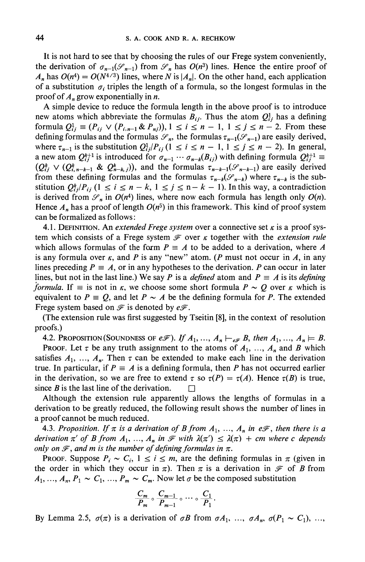**It is not hard to see that by choosing the rules of our Frege system conveniently,**  the derivation of  $\sigma_{n-1}(\mathcal{S}_{n-1})$  from  $\mathcal{S}_n$  has  $O(n^3)$  lines. Hence the entire proof of  $A_n$  has  $O(n^4) = O(N^{4/3})$  lines, where N is  $|A_n|$ . On the other hand, each application of a substitution  $\sigma_i$  triples the length of a formula, so the longest formulas in the **proof of An grow exponentially in n.** 

**A simple device to reduce the formula length in the above proof is to introduce**  new atoms which abbreviate the formulas  $B_{ij}$ . Thus the atom  $Q_{ij}^1$  has a defining **formula**  $Q_{ij}^1 \equiv (P_{ij} \vee (P_{i,n-1} \& P_{nj})), 1 \le i \le n-1, 1 \le j \le n-2.$  From these defining formulas and the formulas  $\mathscr{S}_n$ , the formulas  $\tau_{n-1}(\mathscr{S}_{n-1})$  are easily derived, where  $\tau_{n-1}$  is the substitution  $Q_{ij}^1/P_{ij}$  ( $1 \le i \le n-1, 1 \le j \le n-2$ ). In general, **a** new atom  $Q_{ij}^{k+1}$  is introduced for  $\sigma_{n-1} \cdots \sigma_{n-k}(B_{ij})$  with defining formula  $Q_{ij}^{k+1} \equiv$  $(Q_{ij}^k \vee (Q_{i,n-k-1}^k \& Q_{n-k,j}^k))$ , and the formulas  $\tau_{n-k-1}(\mathscr{S}_{n-k-1})$  are easily derived **from these defining formulas and the formulas**  $\tau_{n-k}(\mathscr{S}_{n-k})$  **where**  $\tau_{n-k}$  **is the substitution**  $Q_{ij}^k/P_{ij}$   $(1 \le i \le n-k, 1 \le j \le n-k-1)$ . In this way, a contradiction is derived from  $\mathcal{S}_n$  in  $O(n^4)$  lines, where now each formula has length only  $O(n)$ . Hence  $A_n$  has a proof of length  $O(n^5)$  in this framework. This kind of proof system **can be formalized as follows:** 

**4.1. DEFINITION.** An *extended Frege system* over a connective set  $\kappa$  is a proof sys**tem which consists of a Frege system**  $\mathcal F$  **over**  $\kappa$  **together with the** *extension rule* which allows formulas of the form  $P = A$  to be added to a derivation, where A is any formula over  $\kappa$ , and P is any "new" atom. (P must not occur in A, in any lines preceding  $P = A$ , or in any hypotheses to the derivation. P can occur in later lines, but not in the last line.) We say P is a *defined* atom and  $P \equiv A$  is its *defining formula.* **If**  $\equiv$  **is not in**  $\kappa$ **, we choose some short formula**  $P \sim Q$  **over**  $\kappa$  **which is** equivalent to  $P = Q$ , and let  $P \sim A$  be the defining formula for P. The extended Frege system based on  $\mathcal F$  is denoted by  $e\mathcal F$ .

**(The extension rule was first suggested by Tseitin [8], in the context of resolution proofs.)** 

**4.2. PROPOSITION(SOUNDNESS OF**  $e\mathcal{F}$ **).** If  $A_1, ..., A_n \vdash_{e\mathcal{F}} B$ , then  $A_1, ..., A_n \models B$ .

**PROOF.** Let  $\tau$  be any truth assignment to the atoms of  $A_1$ , ...,  $A_n$  and B which satisfies  $A_1$ , ...,  $A_n$ . Then  $\tau$  can be extended to make each line in the derivation true. In particular, if  $P = A$  is a defining formula, then P has not occurred earlier in the derivation, so we are free to extend  $\tau$  so  $\tau(P) = \tau(A)$ . Hence  $\tau(B)$  is true, since B is the last line of the derivation.  $\Box$ 

**Although the extension rule apparently allows the lengths of formulas in a derivation to be greatly reduced, the following result shows the number of lines in a proof cannot be much reduced.** 

**4.3. Proposition.** If  $\pi$  is a derivation of B from  $A_1, \ldots, A_n$  in e $\mathcal{F}$ , then there is a derivation  $\pi'$  of B from  $A_1, ..., A_n$  in  $\mathcal{F}$  with  $\lambda(\pi') \leq \lambda(\pi) + cm$  where c depends only on  $\mathcal{F}$ , and m is the number of defining formulas in  $\pi$ .

**PROOF.** Suppose  $P_i \sim C_i$ ,  $1 \le i \le m$ , are the defining formulas in  $\pi$  (given in the order in which they occur in  $\pi$ ). Then  $\pi$  is a derivation in  $\mathscr F$  of B from  $A_1, \ldots, A_n, P_1 \sim C_1, \ldots, P_m \sim C_m$ . Now let  $\sigma$  be the composed substitution

$$
\frac{C_m}{P_m} \circ \frac{C_{m-1}}{P_{m-1}} \circ \cdots \circ \frac{C_1}{P_1}.
$$

By Lemma 2.5,  $\sigma(\pi)$  is a derivation of  $\sigma B$  from  $\sigma A_1$ , ...,  $\sigma A_n$ ,  $\sigma(P_1 \sim C_1)$ , ...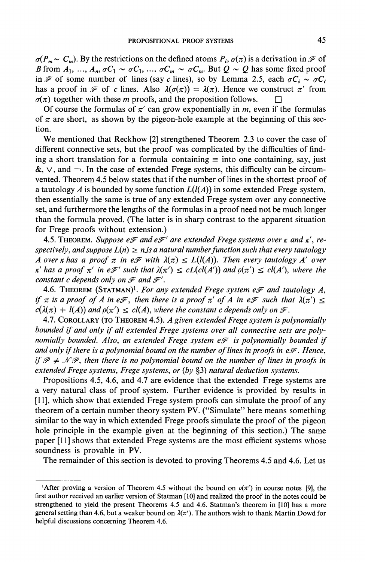$\sigma(P_m \sim C_m)$ . By the restrictions on the defined atoms  $P_i$ ,  $\sigma(\pi)$  is a derivation in  $\mathcal F$  of B from  $A_1, ..., A_n$ ,  $\sigma C_1 \sim \sigma C_1, ..., \sigma C_m \sim \sigma C_m$ . But  $Q \sim Q$  has some fixed proof in **F** of some number of lines (say c lines), so by Lemma 2.5, each  $\sigma C_i \sim \sigma C_i$ has a proof in  $\mathcal F$  of c lines. Also  $\lambda(\sigma(\pi)) = \lambda(\pi)$ . Hence we construct  $\pi'$  from  $\sigma(\pi)$  together with these *m* proofs, and the proposition follows.

Of course the formulas of  $\pi'$  can grow exponentially in m, even if the formulas of  $\pi$  are short, as shown by the pigeon-hole example at the beginning of this sec**tion.** 

**We mentioned that Reckhow [2] strengthened Theorem 2.3 to cover the case of different connective sets, but the proof was complicated by the difficulties of find**ing a short translation for a formula containing  $\equiv$  into one containing, say, just  $\&$ ,  $\vee$ , and  $\neg$ . In the case of extended Frege systems, this difficulty can be circum**vented. Theorem 4.5 below states that if the number of lines in the shortest proof of a tautology A** is bounded by some function  $L(l(A))$  in some extended Frege system, **then essentially the same is true of any extended Frege system over any connective set, and furthermore the lengths of the formulas in a proof need not be much longer than the formula proved. (The latter is in sharp contrast to the apparent situation for Frege proofs without extension.)** 

**4.5. THEOREM.** Suppose  $e\mathcal{F}$  and  $e\mathcal{F}'$  are extended Frege systems over  $\kappa$  and  $\kappa'$ , respectively, and suppose  $L(n) \geq n$  is a natural number function such that every tautology **A** over **k** has a proof  $\pi$  in e $\mathcal{F}$  with  $\lambda(\pi) \le L(l(A))$ . Then every tautology A' over *K'* **has a proof**  $\pi'$  **in e** $\mathcal{F}'$  **such that**  $\lambda(\pi') \le cL(cl(A'))$  **and**  $\rho(\pi') \le cl(A')$ **, where the** *constant c depends only on* $\mathcal F$ *and* $\mathcal F'$ *.* 

**4.6. THEOREM (STATMAN)<sup>1</sup>. For any extended Frege system**  $e\mathcal{F}$  **and tautology A, if**  $\pi$  is a proof of A in e $\mathcal{F}$ , then there is a proof  $\pi'$  of A in e $\mathcal{F}$  such that  $\lambda(\pi') \leq$  $c(\lambda(\pi) + l(A))$  and  $p(\pi') \leq c l(A)$ , where the constant c depends only on  $\mathcal{F}$ .

**4.7. COROLLARY (TO THEOREM 4.5). A given extended Frege system is polynomially bounded if and only if all extended Frege systems over all connective sets are polynomially bounded. Also, an extended Frege system e** $\mathcal{F}$  **is polynomially bounded if** and only if there is a polynomial bound on the number of lines in proofs in  $e\mathscr{F}$ . Hence, if  $\mathscr{P} \neq \mathscr{N} \mathscr{P}$ , then there is no polynomial bound on the number of lines in proofs in extended Frege systems, Frege systems, or (by §3) natural deduction systems.

**Propositions 4.5, 4.6, and 4.7 are evidence that the extended Frege systems are a very natural class of proof system. Further evidence is provided by results in [11], which show that extended Frege system proofs can simulate the proof of any theorem of a certain number theory system PV. ("Simulate" here means something similar to the way in which extended Frege proofs simulate the proof of the pigeon hole principle in the example given at the beginning of this section.) The same paper [11] shows that extended Frege systems are the most efficient systems whose soundness is provable in PV.** 

**The remainder of this section is devoted to proving Theorems 4.5 and 4.6. Let us** 

<sup>&</sup>lt;sup>1</sup>After proving a version of Theorem 4.5 without the bound on  $\rho(\pi')$  in course notes [9], the **first author received an earlier version of Statman [10] and realized the proof in the notes could be strengthened to yield the present Theorems 4.5 and 4.6. Statman's theorem in [10] has a more**  general setting than 4.6, but a weaker bound on  $\lambda(\pi')$ . The authors wish to thank Martin Dowd for **helpful discussions concerning Theorem 4.6.**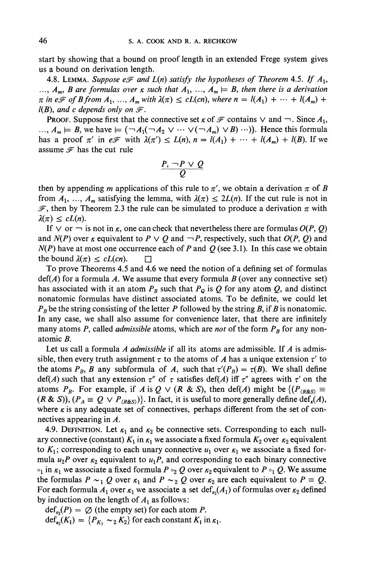**start by showing that a bound on proof length in an extended Frege system gives us a bound on derivation length.** 

**4.8. LEMMA.** Suppose  $e\mathcal{F}$  and  $L(n)$  satisfy the hypotheses of Theorem 4.5. If  $A_1$ ,  $A_m$ , **B** are formulas over *k* such that  $A_1$ ,  $\ldots$ ,  $A_m \models B$ , then there is a derivation  $\pi$  in eF of B from  $A_1, \ldots, A_m$  with  $\lambda(\pi) \leq cL(cn)$ , where  $n = l(A_1) + \cdots + l(A_m) + l$  $l(B)$ , and c depends only on  $\mathcal{F}$ .

**PROOF.** Suppose first that the connective set  $\kappa$  of  $\mathcal{F}$  contains  $\vee$  and  $\neg$ . Since  $A_1$ ,  $\ldots$ ,  $A_m \models B$ , we have  $\models (\neg A_1(\neg A_2 \vee \cdots \vee (\neg A_m) \vee B) \cdots)$ . Hence this formula has a proof  $\pi'$  in e $\mathcal{F}$  with  $\lambda(\pi') \le L(n)$ ,  $n = l(A_1) + \cdots + l(A_m) + l(B)$ . If we assume  $\mathcal F$  has the cut rule

$$
\frac{P, \neg P \lor Q}{Q}
$$

**then by appending m applications of this rule to**  $\pi'$ **, we obtain a derivation**  $\pi$  **of B** from  $A_1, \ldots, A_m$  satisfying the lemma, with  $\lambda(\pi) \leq 2L(n)$ . If the cut rule is not in  $\mathscr{F}$ , then by Theorem 2.3 the rule can be simulated to produce a derivation  $\pi$  with  $\lambda(\pi) \leq cL(n).$ 

If  $\vee$  or  $\neg$  is not in  $\kappa$ , one can check that nevertheless there are formulas  $O(P, Q)$ and  $N(P)$  over  $\kappa$  equivalent to  $P \vee Q$  and  $\neg P$ , respectively, such that  $O(P, Q)$  and  $N(P)$  have at most one occurrence each of P and Q (see 3.1). In this case we obtain **the bound**  $\lambda(\pi) \leq cL(cn)$ **.** 

**To prove Theorems 4.5 and 4.6 we need the notion of a defining set of formulas**   $\text{def}(A)$  for a formula A. We assume that every formula B (over any connective set) has associated with it an atom  $P_B$  such that  $P_Q$  is Q for any atom Q, and distinct **nonatomic formulas have distinct associated atoms. To be definite, we could let**   $P_B$  be the string consisting of the letter P followed by the string B, if B is nonatomic. **In any case, we shall also assume for convenience later, that there are infinitely**  many atoms P, called *admissible* atoms, which are *not* of the form  $P_B$  for any non**atomic B.** 

Let us call a formula A *admissible* if all its atoms are admissible. If A is admissible, then every truth assignment  $\tau$  to the atoms of A has a unique extension  $\tau'$  to the atoms  $P_B$ , **B** any subformula of A, such that  $\tau'(P_B) = \tau(B)$ . We shall define  $\det(A)$  such that any extension  $\tau''$  of  $\tau$  satisfies  $\det(A)$  iff  $\tau''$  agrees with  $\tau'$  on the **atoms P<sub>B</sub>. For example, if A is Q**  $\vee$  **(R & S), then def(A) might be**  $\{ (P_{(R\&S)} \equiv$  $(R \& S)$ ,  $(P_A \equiv Q \lor P_{(R \& S)})$ . In fact, it is useful to more generally define def<sub>n</sub>(*A*), where  $\kappa$  is any adequate set of connectives, perhaps different from the set of con**nectives appearing in A.** 

4.9. DEFINITION. Let  $\kappa_1$  and  $\kappa_2$  be connective sets. Corresponding to each nullary connective (constant)  $K_1$  in  $\kappa_1$  we associate a fixed formula  $K_2$  over  $\kappa_2$  equivalent to  $K_1$ ; corresponding to each unary connective  $u_1$  over  $\kappa_1$  we associate a fixed formula  $u_2P$  over  $\kappa_2$  equivalent to  $u_1P$ , and corresponding to each binary connective  $\circ_1$  in  $\kappa_1$  we associate a fixed formula P  $\circ_2 Q$  over  $\kappa_2$  equivalent to P  $\circ_1 Q$ . We assume the formulas  $P \sim_1 Q$  over  $\kappa_1$  and  $P \sim_2 Q$  over  $\kappa_2$  are each equivalent to  $P \equiv Q$ . For each formula  $A_1$  over  $\kappa_1$  we associate a set  $\det_{\kappa_2}(A_1)$  of formulas over  $\kappa_2$  defined by induction on the length of  $A_1$  as follows:

 $def<sub>so</sub>(P) = \emptyset$  (the empty set) for each atom P.  $\det_{\kappa_2}(K_1) = \{P_{K_1} \sim_2 K_2\}$  for each constant  $K_1$  in  $\kappa_1$ .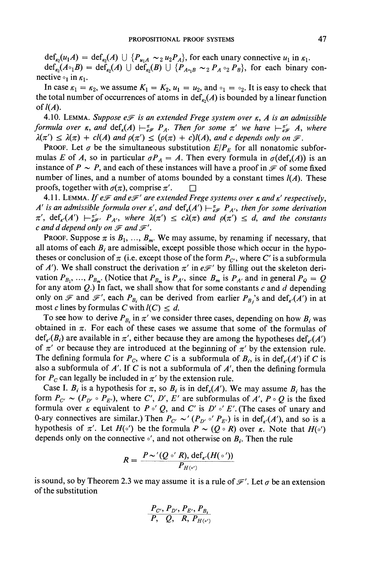$\det_{\kappa_2}(u_1A) = \det_{\kappa_2}(A) \cup \{P_{u_1A} \sim_2 u_2P_A\}$ , for each unary connective  $u_1$  in  $\kappa_1$ .  $\det_{k_2}(A \circ B) = \det_{k_2}(A) \cup \det_{k_2}(B) \cup \{P_{A \circ B} \sim_2 P_A \circ_2 P_B\}$ , for each binary con**nective**  $\circ_1$  in  $\kappa_1$ .

In case  $\kappa_1 = \kappa_2$ , we assume  $K_1 = K_2$ ,  $u_1 = u_2$ , and  $\circ_1 = \circ_2$ . It is easy to check that the total number of occurrences of atoms in  $\text{def}_{\kappa}(A)$  is bounded by a linear function of  $l(A)$ .

**4.10. LEMMA.** Suppose  $e\mathcal{F}$  is an extended Frege system over  $\kappa$ , A is an admissible **formula over**  $\kappa$ **, and**  $\det_{\kappa}(A) \leftarrow_{\epsilon_{\mathcal{F}}}^{\pi} P_{A}$ **. Then for some**  $\pi'$  **we have**  $\leftarrow_{\epsilon_{\mathcal{F}}}^{\pi'} A$ **, where**  $\lambda(\pi') \leq \lambda(\pi) + cl(A)$  and  $\rho(\pi') \leq (\rho(\pi) + c)l(A)$ , and c depends only on  $\mathcal{F}$ .

**PROOF.** Let  $\sigma$  be the simultaneous substitution  $E/P_E$  for all nonatomic subformulas *E* of *A*, so in particular  $\sigma P_A = A$ . Then every formula in  $\sigma(\text{def}_s(A))$  is an instance of  $P \sim P$ , and each of these instances will have a proof in  $\mathcal F$  of some fixed number of lines, and a number of atoms bounded by a constant times  $l(A)$ . These **proofs, together with**  $\sigma(\pi)$ **, comprise**  $\pi'$ **.**  $\Box$ 

**4.11. LEMMA.** If  $e\mathcal{F}$  and  $e\mathcal{F}'$  are extended Frege systems over  $\kappa$  and  $\kappa'$  respectively, **A' is an admissible formula over**  $\kappa'$ **, and**  $\text{def}_{\kappa}(A') \models_{\epsilon \mathcal{F}}^{\pi} P_{A'}$ **, then for some derivation**  $\pi'$ ,  $\text{def}_{\kappa'}(A')$   $\vdash \pi'_{\epsilon\mathscr{F}'}$ ,  $P_{A'}$ , where  $\lambda(\pi') \leq c\lambda(\pi)$  and  $\rho(\pi') \leq d$ , and the constants c and d depend only on  $\mathscr F$  and  $\mathscr F'$ .

**PROOF.** Suppose  $\pi$  is  $B_1, \ldots, B_m$ . We may assume, by renaming if necessary, that all atoms of each  $B_i$  are admissible, except possible those which occur in the hypotheses or conclusion of  $\pi$  (i.e. except those of the form  $P_{C'}$ , where C' is a subformula of A'). We shall construct the derivation  $\pi'$  in  $e\mathscr{F}'$  by filling out the skeleton derivation  $P_{B_1}, \ldots, P_{B_m}$ . (Notice that  $P_{B_m}$  is  $P_{A'}$ , since  $B_m$  is  $P_{A'}$  and in general  $P_Q = Q$ for any atom  $Q$ .) In fact, we shall show that for some constants  $c$  and  $d$  depending only on  $\mathcal{F}$  and  $\mathcal{F}'$ , each  $P_{B_i}$  can be derived from earlier  $P_{B_i}$ 's and def<sub> $\kappa$ </sub>(A') in at most c lines by formulas C with  $l(C) \leq d$ .

To see how to derive  $P_{B_i}$  in  $\pi'$  we consider three cases, depending on how  $B_i$  was obtained in  $\pi$ . For each of these cases we assume that some of the formulas of  $\det_{\kappa'}(B_i)$  are available in  $\pi'$ , either because they are among the hypotheses def,  $(A')$ of  $\pi'$  or because they are introduced at the beginning of  $\pi'$  by the extension rule. The defining formula for  $P_c$ , where C is a subformula of  $B_i$ , is in def<sub> $\kappa$ </sub>(A') if C is **also a subformula of A'. If C is not a subformula of A', then the defining formula**  for  $P_c$  can legally be included in  $\pi'$  by the extension rule.

Case I.  $B_i$  is a hypothesis for  $\pi$ , so  $B_i$  is in def<sub> $\kappa$ </sub>(A'). We may assume  $B_i$  has the form  $P_{C'} \sim (P_{D'} \circ P_{E'})$ , where C', D', E' are subformulas of A',  $P \circ Q$  is the fixed **formula over**  $\kappa$  **equivalent to**  $P \circ' Q$ , and C' is  $D' \circ' E'$ . (The cases of unary and 0-ary connectives are similar.) Then  $P_{C'} \sim (P_{D'} \circ' P_{E'})$  is in def<sub> $\kappa'$ </sub>(A'), and so is a hypothesis of  $\pi'$ . Let  $H(\circ')$  be the formula  $P \sim (Q \circ R)$  over  $\kappa$ . Note that  $H(\circ')$ depends only on the connective  $\circ'$ , and not otherwise on  $B_i$ . Then the rule

$$
R=\frac{P\sim'(Q\circ'R),\,\mathrm{def}_{\kappa'}(H(\circ'))}{P_{H(\circ')}}
$$

is sound, so by Theorem 2.3 we may assume it is a rule of  $\mathcal{F}'$ . Let  $\sigma$  be an extension **of the substitution** 

$$
\frac{P_{C'}, P_{D'}, P_{E'}, P_{B_i}}{P, Q, R, P_{H(s')}}
$$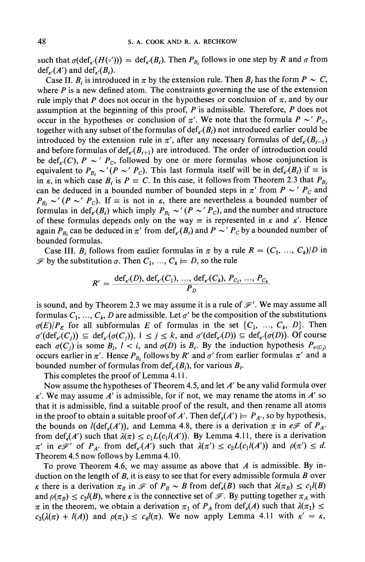such that  $\sigma(\text{def}_{\kappa'}(H(\circ'))) = \text{def}_{\kappa'}(B_i)$ . Then  $P_{B_i}$  follows in one step by R and  $\sigma$  from  $\text{def}_{\epsilon}(A')$  and  $\text{def}_{\epsilon'}(B_i)$ .

Case II. B<sub>i</sub> is introduced in  $\pi$  by the extension rule. Then  $B_i$  has the form  $P \sim C$ , **where P is a new defined atom. The constraints governing the use of the extension**  rule imply that P does not occur in the hypotheses or conclusion of  $\pi$ , and by our **assumption at the beginning of this proof, P is admissible. Therefore, P does not occur in the hypotheses or conclusion of**  $\pi'$ **. We note that the formula**  $P \sim P_C$ **,** together with any subset of the formulas of  $\text{def}_{\kappa'}(B_i)$  not introduced earlier could be **introduced by the extension rule in**  $\pi'$ **, after any necessary formulas of**  $\text{def}_{{\kappa}'}(B_{i-1})$ and before formulas of  $\text{def}_{\kappa'}(B_{i+1})$  are introduced. The order of introduction could be  $\text{def}_{\kappa}(C)$ ,  $P \sim' P_c$ , followed by one or more formulas whose conjunction is equivalent to  $P_{B_i} \sim (P \sim' P_c)$ . This last formula itself will be in  $\text{def}_{\kappa'}(B_i)$  if  $\equiv$  is in  $\kappa$ , in which case  $B_i$  is  $P = C$ . In this case, it follows from Theorem 2.3 that  $P_{B_i}$ can be deduced in a bounded number of bounded steps in  $\pi'$  from  $P \sim' P_C$  and  $P_{B_i} \sim (P \sim' P_c)$ . If  $\equiv$  is not in  $\kappa$ , there are nevertheless a bounded number of **formulas in def<sub>** $\kappa$ **</sub><sup>'</sup>(** $B_i$ **) which imply**  $P_{B_i} \sim' (P \sim' P_c)$ **, and the number and structure** of these formulas depends only on the way  $\equiv$  is represented in  $\kappa$  and  $\kappa'$ . Hence **again**  $P_{B_i}$  can be deduced in  $\pi'$  from def<sub>K</sub>( $B_i$ ) and  $P \sim' P_C$  by a bounded number of **bounded formulas.** 

Case III.  $B_i$  follows from earlier formulas in  $\pi$  by a rule  $R = (C_1, \ldots, C_k)/D$  in  $\mathscr{F}$  by the substitution  $\sigma$ . Then  $C_1, \ldots, C_k \models D$ , so the rule

$$
R' = \frac{\text{def}_{\kappa'}(D), \text{def}_{\kappa'}(C_1), ..., \text{def}_{\kappa'}(C_k), P_{C_1}, ..., P_{C_k}}{P_D}
$$

is sound, and by Theorem 2.3 we may assume it is a rule of  $\mathcal{F}'$ . We may assume all formulas  $C_1, \ldots, C_k$ , D are admissible. Let  $\sigma'$  be the composition of the substitutions  $\sigma(E)/P_E$  for all subformulas E of formulas in the set  $\{C_1, \ldots, C_k, D\}$ . Then  $\sigma'(\text{def}_{\kappa'}(C_i)) \subseteq \text{def}_{\kappa'}(\sigma(C_i)), 1 \leq j \leq k$ , and  $\sigma'(\text{def}_{\kappa'}(D)) \subseteq \text{def}_{\kappa'}(\sigma(D))$ . Of course each  $\sigma(C_i)$  is some  $B_i$ ,  $i < i$ , and  $\sigma(D)$  is  $B_i$ . By the induction hypothesis  $P_{\sigma(C_i)}$ **occurs earlier in**  $\pi'$ **. Hence**  $P_{B_i}$  **follows by R' and**  $\sigma'$  **from earlier formulas**  $\pi'$  **and a bounded number of formulas from**  $\text{def}_{\kappa'}(B_l)$ **, for various**  $B_l$ **.** 

**This completes the proof of Lemma 4.11.** 

**Now assume the hypotheses of Theorem 4.5, and let A' be any valid formula over**   $t$ . We may assume  $A'$  is admissible, for if not, we may rename the atoms in  $A'$  so **that it is admissible, find a suitable proof of the result, and then rename all atoms**  in the proof to obtain a suitable proof of A'. Then  $\det_k(A') = P_{A'}$ , so by hypothesis, the bounds on  $l(\text{def}_k(A'))$ , and Lemma 4.8, there is a derivation  $\pi$  in  $e\mathscr{F}$  of  $P_{A'}$ from  $\det_{k}(A')$  such that  $\lambda(\pi) \leq c_1 L(c_1(A'))$ . By Lemma 4.11, there is a derivation  $\pi'$  in e $\mathcal{F}'$  of  $P_{A'}$  from def<sub> $\kappa'$ </sub> (A') such that  $\lambda(\pi') \leq c_2L(c_1\ell(A'))$  and  $\rho(\pi') \leq d$ . **Theorem 4.5 now follows by Lemma 4.10.** 

**To prove Theorem 4.6, we may assume as above that A is admissible. By induction on the length of B, it is easy to see that for every admissible formula B over**  *K* there is a derivation  $\pi_B$  in  $\mathcal F$  of  $P_B \sim B$  from  $\text{def}_k(B)$  such that  $\lambda(\pi_B) \leq c_1 l(B)$ and  $\rho(\pi_B) \leq c_2 l(B)$ , where  $\kappa$  is the connective set of  $\mathcal{F}$ . By putting together  $\pi_A$  with  $\pi$  in the theorem, we obtain a derivation  $\pi_1$  of  $P_A$  from def<sub>k</sub>(A) such that  $\lambda(\pi_1) \leq$  $c_3(\lambda(\pi) + l(A))$  and  $\rho(\pi_1) \leq c_4 l(\pi)$ . We now apply Lemma 4.11 with  $\kappa' = \kappa$ ,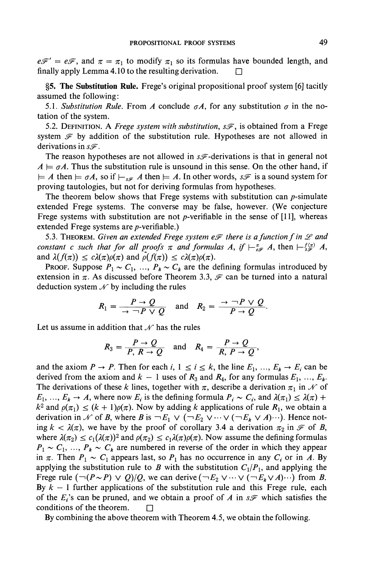$e\mathcal{F}' = e\mathcal{F}$ , and  $\pi = \pi_1$  to modify  $\pi_1$  so its formulas have bounded length, and **finally apply Lemma 4.10 to the resulting derivation. El** 

**?5. The Substitution Rule. Frege's original propositional proof system [6] tacitly assumed the following:** 

5.1. Substitution Rule. From A conclude  $\sigma A$ , for any substitution  $\sigma$  in the no**tation of the system.** 

5.2. DEFINITION. A Frege system with substitution,  $s\mathscr{F}$ , is obtained from a Frege system  $\mathcal F$  by addition of the substitution rule. Hypotheses are not allowed in derivations in  $s\mathscr{F}$ .

The reason hypotheses are not allowed in  $s\mathscr{F}$ -derivations is that in general not  $A \models \sigma A$ . Thus the substitution rule is unsound in this sense. On the other hand, if  $l= A$  then  $l= \sigma A$ , so if  $l- F_{\text{max}} A$  then  $l= A$ . In other words,  $s\mathscr{F}$  is a sound system for **proving tautologies, but not for deriving formulas from hypotheses.** 

**The theorem below shows that Frege systems with substitution can p-simulate extended Frege systems. The converse may be false, however. (We conjecture Frege systems with substitution are not p-verifiable in the sense of [11], whereas extended Frege systems are p-verifiable.)** 

5.3. **THEOREM.** Given an extended Frege system  $e\mathcal{F}$  there is a function f in  $\mathcal{L}$  and **constant c such that for all proofs**  $\pi$  **and formulas A, if**  $\vdash_{\epsilon}^{\pi} A$ **, then**  $\vdash_{\epsilon}^{\epsilon} (\pi) A$ **,** and  $\lambda(f(\pi)) \leq c\lambda(\pi)\rho(\pi)$  and  $\rho(f(\pi)) \leq c\lambda(\pi)\rho(\pi)$ .

**PROOF.** Suppose  $P_1 \sim C_1$ , ...,  $P_k \sim C_k$  are the defining formulas introduced by **extension in**  $\pi$ **. As discussed before Theorem 3.3,**  $\mathcal{F}$  **can be turned into a natural** deduction system  $\mathcal{N}$  by including the rules

$$
R_1 = \frac{P \rightarrow Q}{\rightarrow \neg P \lor Q} \quad \text{and} \quad R_2 = \frac{\rightarrow \neg P \lor Q}{P \rightarrow Q}.
$$

Let us assume in addition that  $\mathcal{N}$  has the rules

$$
R_3=\frac{P\rightarrow Q}{P,\ R\rightarrow Q}\quad\text{and}\quad R_4=\frac{P\rightarrow Q}{R,\ P\rightarrow Q},
$$

and the axiom  $P \rightarrow P$ . Then for each i,  $1 \le i \le k$ , the line  $E_1, \ldots, E_k \rightarrow E_i$  can be derived from the axiom and  $k - 1$  uses of  $R_3$  and  $R_4$ , for any formulas  $E_1, \ldots, E_k$ . The derivations of these k lines, together with  $\pi$ , describe a derivation  $\pi_1$  in  $\mathcal N$  of  $E_1, ..., E_k \to A$ , where now  $E_i$  is the defining formula  $P_i \sim C_i$ , and  $\lambda(\pi_1) \leq \lambda(\pi) +$  $k^2$  and  $\rho(\pi_1) \leq (k+1)\rho(\pi)$ . Now by adding k applications of rule  $R_1$ , we obtain a derivation in N of B, where B is  $\neg E_1 \vee (\neg E_2 \vee \cdots \vee (\neg E_k \vee A) \cdots)$ . Hence noting  $k < \lambda(\pi)$ , we have by the proof of corollary 3.4 a derivation  $\pi_2$  in  $\mathscr F$  of B, where  $\lambda(\pi_2) \leq c_1(\lambda(\pi))^2$  and  $\rho(\pi_2) \leq c_1\lambda(\pi)\rho(\pi)$ . Now assume the defining formulas  $P_1 \sim C_1, \ldots, P_k \sim C_k$  are numbered in reverse of the order in which they appear in  $\pi$ . Then  $P_1 \sim C_1$  appears last, so  $P_1$  has no occurrence in any  $C_i$  or in A. By applying the substitution rule to B with the substitution  $C_1/P_1$ , and applying the Frege rule  $(\neg (P \sim P) \lor Q)/Q$ , we can derive  $(\neg E_2 \lor \dots \lor (\neg E_k \lor A) \cdots)$  from *B*. By  $k - 1$  further applications of the substitution rule and this Frege rule, each of the  $E_i$ 's can be pruned, and we obtain a proof of A in  $s\mathscr{F}$  which satisfies the **conditions of the theorem.**  $\Box$ 

**By combining the above theorem with Theorem 4.5, we obtain the following.**